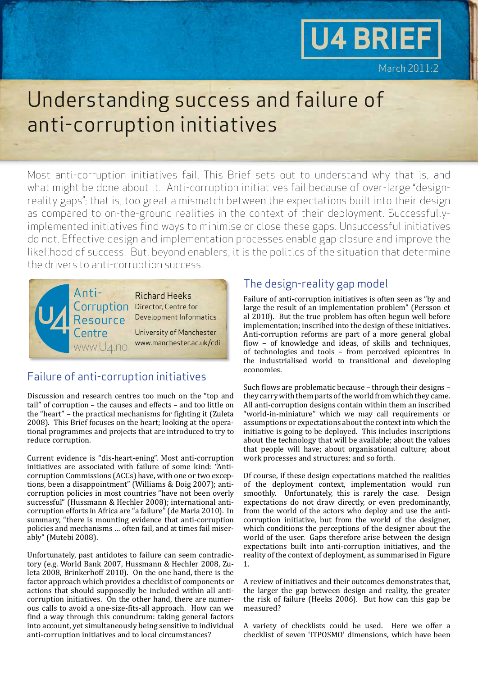# **U4 BRIEF**

March 2011:2

### Understanding success and failure of anti-corruption initiatives

Most anti-corruption initiatives fail. This Brief sets out to understand why that is, and what might be done about it. Anti-corruption initiatives fail because of over-large "designreality gaps"; that is, too great a mismatch between the expectations built into their design as compared to on-the-ground realities in the context of their deployment. Successfullyimplemented initiatives find ways to minimise or close these gaps. Unsuccessful initiatives do not. Effective design and implementation processes enable gap closure and improve the likelihood of success. But, beyond enablers, it is the politics of the situation that determine the drivers to anti-corruption success.



#### Failure of anti-corruption initiatives

Discussion and research centres too much on the "top and tail" of corruption – the causes and effects – and too little on the "heart" – the practical mechanisms for fighting it (Zuleta 2008). This Brief focuses on the heart; looking at the operational programmes and projects that are introduced to try to reduce corruption.

Current evidence is "dis-heart-ening". Most anti-corruption initiatives are associated with failure of some kind: "Anticorruption Commissions (ACCs) have, with one or two exceptions, been a disappointment" (Williams & Doig 2007); anticorruption policies in most countries "have not been overly successful" (Hussmann & Hechler 2008); international anticorruption efforts in Africa are "a failure" (de Maria 2010). In summary, "there is mounting evidence that anti-corruption policies and mechanisms … often fail, and at times fail miserably" (Mutebi 2008).

Unfortunately, past antidotes to failure can seem contradictory (e.g. World Bank 2007, Hussmann & Hechler 2008, Zuleta 2008, Brinkerhoff 2010). On the one hand, there is the factor approach which provides a checklist of components or actions that should supposedly be included within all anticorruption initiatives. On the other hand, there are numerous calls to avoid a one-size-fits-all approach. How can we find a way through this conundrum: taking general factors into account, yet simultaneously being sensitive to individual anti-corruption initiatives and to local circumstances?

#### The design-reality gap model

Failure of anti-corruption initiatives is often seen as "by and large the result of an implementation problem" (Persson et al 2010). But the true problem has often begun well before implementation; inscribed into the design of these initiatives. Anti-corruption reforms are part of a more general global flow – of knowledge and ideas, of skills and techniques, of technologies and tools – from perceived epicentres in the industrialised world to transitional and developing economies.

Such flows are problematic because – through their designs – they carry with them parts of the world from which they came. All anti-corruption designs contain within them an inscribed "world-in-miniature" which we may call requirements or assumptions or expectations about the context into which the initiative is going to be deployed. This includes inscriptions about the technology that will be available; about the values that people will have; about organisational culture; about work processes and structures; and so forth.

Of course, if these design expectations matched the realities of the deployment context, implementation would run smoothly. Unfortunately, this is rarely the case. Design expectations do not draw directly, or even predominantly, from the world of the actors who deploy and use the anticorruption initiative, but from the world of the designer, which conditions the perceptions of the designer about the world of the user. Gaps therefore arise between the design expectations built into anti-corruption initiatives, and the reality of the context of deployment, as summarised in Figure 1.

A review of initiatives and their outcomes demonstrates that, the larger the gap between design and reality, the greater the risk of failure (Heeks 2006). But how can this gap be measured?

A variety of checklists could be used. Here we offer a checklist of seven 'ITPOSMO' dimensions, which have been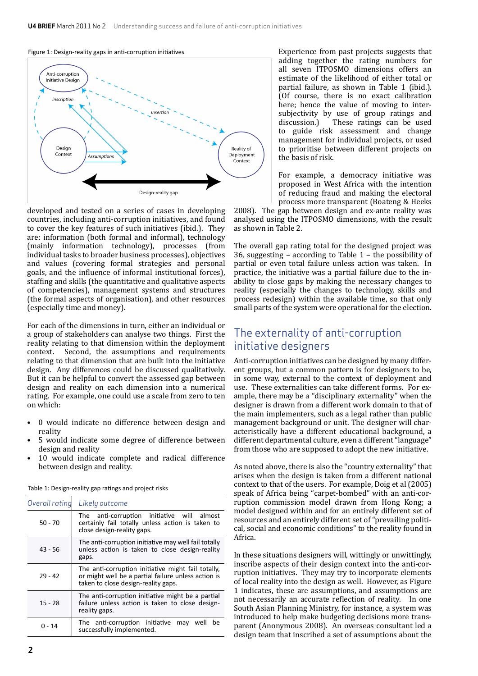#### Figure 1: Design-reality gaps in anti-corruption initiatives



developed and tested on a series of cases in developing countries, including anti-corruption initiatives, and found to cover the key features of such initiatives (ibid.). They are: information (both formal and informal), technology (mainly information technology), processes (from individual tasks to broader business processes), objectives and values (covering formal strategies and personal goals, and the influence of informal institutional forces), staffing and skills (the quantitative and qualitative aspects of competencies), management systems and structures (the formal aspects of organisation), and other resources (especially time and money).

For each of the dimensions in turn, either an individual or a group of stakeholders can analyse two things. First the reality relating to that dimension within the deployment context. Second, the assumptions and requirements relating to that dimension that are built into the initiative design. Any differences could be discussed qualitatively. But it can be helpful to convert the assessed gap between design and reality on each dimension into a numerical rating. For example, one could use a scale from zero to ten on which:

- 0 would indicate no difference between design and reality
- 5 would indicate some degree of difference between design and reality
- 10 would indicate complete and radical difference between design and reality.

Table 1: Design-reality gap ratings and project risks

| Overall rating | Likely outcome                                                                                                                                   |  |
|----------------|--------------------------------------------------------------------------------------------------------------------------------------------------|--|
| $50 - 70$      | The anti-corruption initiative will almost<br>certainly fail totally unless action is taken to<br>close design-reality gaps.                     |  |
| $43 - 56$      | The anti-corruption initiative may well fail totally<br>unless action is taken to close design-reality<br>gaps.                                  |  |
| $29 - 42$      | The anti-corruption initiative might fail totally,<br>or might well be a partial failure unless action is<br>taken to close design-reality gaps. |  |
| $15 - 28$      | The anti-corruption initiative might be a partial<br>failure unless action is taken to close design-<br>reality gaps.                            |  |
| 0 - 14         | The anti-corruption initiative may<br>well<br>be<br>successfully implemented.                                                                    |  |

Experience from past projects suggests that adding together the rating numbers for all seven ITPOSMO dimensions offers an estimate of the likelihood of either total or partial failure, as shown in Table 1 (ibid.). (Of course, there is no exact calibration here; hence the value of moving to intersubjectivity by use of group ratings and discussion.) These ratings can be used These ratings can be used to guide risk assessment and change management for individual projects, or used to prioritise between different projects on the basis of risk.

For example, a democracy initiative was proposed in West Africa with the intention of reducing fraud and making the electoral process more transparent (Boateng & Heeks

2008). The gap between design and ex-ante reality was analysed using the ITPOSMO dimensions, with the result as shown in Table 2.

The overall gap rating total for the designed project was 36, suggesting – according to Table 1 – the possibility of partial or even total failure unless action was taken. In practice, the initiative was a partial failure due to the inability to close gaps by making the necessary changes to reality (especially the changes to technology, skills and process redesign) within the available time, so that only small parts of the system were operational for the election.

#### The externality of anti-corruption initiative designers

Anti-corruption initiatives can be designed by many different groups, but a common pattern is for designers to be, in some way, external to the context of deployment and use. These externalities can take different forms. For example, there may be a "disciplinary externality" when the designer is drawn from a different work domain to that of the main implementers, such as a legal rather than public management background or unit. The designer will characteristically have a different educational background, a different departmental culture, even a different "language" from those who are supposed to adopt the new initiative.

As noted above, there is also the "country externality" that arises when the design is taken from a different national context to that of the users. For example, Doig et al (2005) speak of Africa being "carpet-bombed" with an anti-corruption commission model drawn from Hong Kong; a model designed within and for an entirely different set of resources and an entirely different set of "prevailing political, social and economic conditions" to the reality found in Africa.

In these situations designers will, wittingly or unwittingly, inscribe aspects of their design context into the anti-corruption initiatives. They may try to incorporate elements of local reality into the design as well. However, as Figure 1 indicates, these are assumptions, and assumptions are not necessarily an accurate reflection of reality. In one South Asian Planning Ministry, for instance, a system was introduced to help make budgeting decisions more transparent (Anonymous 2008). An overseas consultant led a design team that inscribed a set of assumptions about the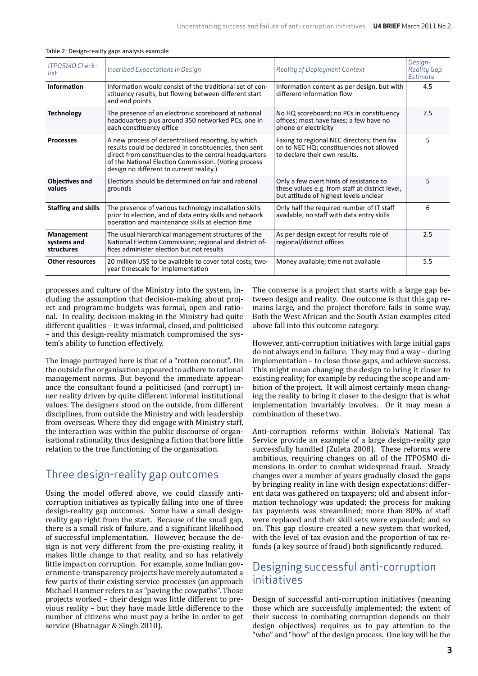| <b>ITPOSMO Check-</b><br>list           | Inscribed Expectations in Design                                                                                                                                                                                                                                           | <b>Reality of Deployment Context</b>                                                                                                 | Design-<br><b>Reality Gap</b><br>Estimate |
|-----------------------------------------|----------------------------------------------------------------------------------------------------------------------------------------------------------------------------------------------------------------------------------------------------------------------------|--------------------------------------------------------------------------------------------------------------------------------------|-------------------------------------------|
| Information                             | Information would consist of the traditional set of con-<br>stituency results, but flowing between different start<br>and end points                                                                                                                                       | Information content as per design, but with<br>different information flow                                                            | 4.5                                       |
| <b>Technology</b>                       | The presence of an electronic scoreboard at national<br>headquarters plus around 350 networked PCs, one in<br>each constituency office                                                                                                                                     | No HQ scoreboard; no PCs in constituency<br>offices; most have faxes; a few have no<br>phone or electricity                          | 7.5                                       |
| <b>Processes</b>                        | A new process of decentralised reporting, by which<br>results could be declared in constituencies, then sent<br>direct from constituencies to the central headquarters<br>of the National Election Commission. (Voting process<br>design no different to current reality.) | Faxing to regional NEC directors; then fax<br>on to NEC HQ; constituencies not allowed<br>to declare their own results.              | 5                                         |
| <b>Objectives and</b><br>values         | Elections should be determined on fair and rational<br>grounds                                                                                                                                                                                                             | Only a few overt hints of resistance to<br>these values e.g. from staff at district level,<br>but attitude of highest levels unclear | 5.                                        |
| <b>Staffing and skills</b>              | The presence of various technology installation skills<br>prior to election, and of data entry skills and network<br>operation and maintenance skills at election time                                                                                                     | Only half the required number of IT staff<br>available; no staff with data entry skills                                              | 6                                         |
| Management<br>systems and<br>structures | The usual hierarchical management structures of the<br>National Election Commission; regional and district of-<br>fices administer election but not results                                                                                                                | As per design except for results role of<br>regional/district offices                                                                | 2.5                                       |
| <b>Other resources</b>                  | 20 million US\$ to be available to cover total costs; two-<br>year timescale for implementation                                                                                                                                                                            | Money available; time not available                                                                                                  | 5.5                                       |

processes and culture of the Ministry into the system, including the assumption that decision-making about project and programme budgets was formal, open and rational. In reality, decision-making in the Ministry had quite different qualities – it was informal, closed, and politicised – and this design-reality mismatch compromised the system's ability to function effectively.

The image portrayed here is that of a "rotten coconut". On the outside the organisation appeared to adhere to rational management norms. But beyond the immediate appearance the consultant found a politicised (and corrupt) inner reality driven by quite different informal institutional values. The designers stood on the outside, from different disciplines, from outside the Ministry and with leadership from overseas. Where they did engage with Ministry staff, the interaction was within the public discourse of organisational rationality, thus designing a fiction that bore little relation to the true functioning of the organisation.

#### Three design-reality gap outcomes

Using the model offered above, we could classify anticorruption initiatives as typically falling into one of three design-reality gap outcomes. Some have a small designreality gap right from the start. Because of the small gap, there is a small risk of failure, and a significant likelihood of successful implementation. However, because the design is not very different from the pre-existing reality, it makes little change to that reality, and so has relatively little impact on corruption. For example, some Indian government e-transparency projects have merely automated a few parts of their existing service processes (an approach Michael Hammer refers to as "paving the cowpaths". Those projects worked – their design was little different to previous reality – but they have made little difference to the number of citizens who must pay a bribe in order to get service (Bhatnagar & Singh 2010).

The converse is a project that starts with a large gap between design and reality. One outcome is that this gap remains large, and the project therefore fails in some way. Both the West African and the South Asian examples cited above fall into this outcome category.

However, anti-corruption initiatives with large initial gaps do not always end in failure. They may find a way – during implementation – to close those gaps, and achieve success. This might mean changing the design to bring it closer to existing reality; for example by reducing the scope and ambition of the project. It will almost certainly mean changing the reality to bring it closer to the design: that is what implementation invariably involves. Or it may mean a combination of these two.

Anti-corruption reforms within Bolivia's National Tax Service provide an example of a large design-reality gap successfully handled (Zuleta 2008). These reforms were ambitious, requiring changes on all of the ITPOSMO dimensions in order to combat widespread fraud. Steady changes over a number of years gradually closed the gaps by bringing reality in line with design expectations: different data was gathered on taxpayers; old and absent information technology was updated; the process for making tax payments was streamlined; more than 80% of staff were replaced and their skill sets were expanded; and so on. This gap closure created a new system that worked, with the level of tax evasion and the proportion of tax refunds (a key source of fraud) both significantly reduced.

#### Designing successful anti-corruption initiatives

Design of successful anti-corruption initiatives (meaning those which are successfully implemented; the extent of their success in combating corruption depends on their design objectives) requires us to pay attention to the "who" and "how" of the design process. One key will be the